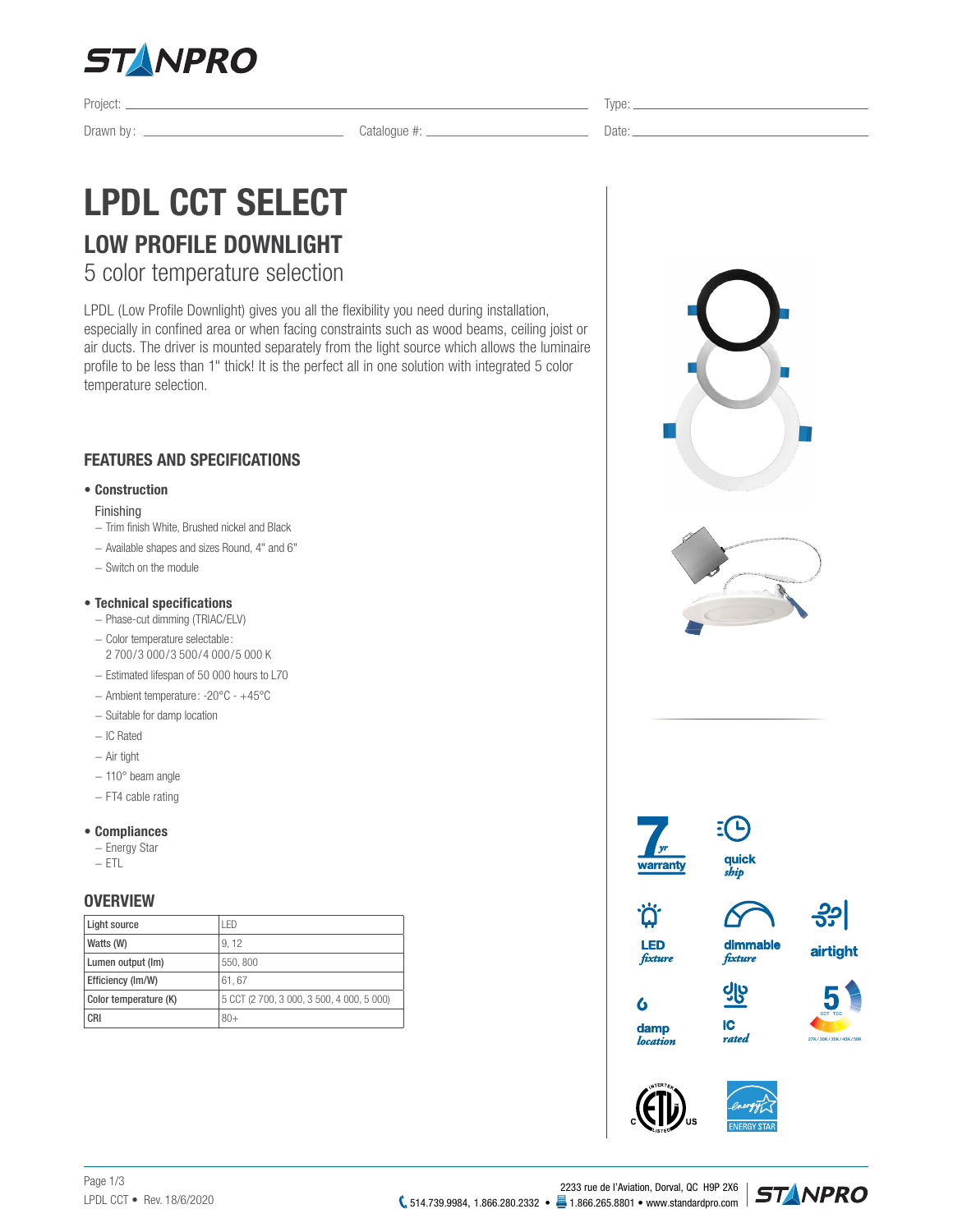

Project: Type:

Drawn by: 2000 Catalogue #: 2000 Catalogue #: 2000 Catalogue #: 2000 Catalogue #: 2000 Catalogue #: 2000 Catalogue #: 2000 Catalogue #: 2000 Catalogue #: 2000 Catalogue #: 2000 Catalogue #: 2000 Catalogue #: 2000 Catalogue

# **LPDL CCT SELECT LOW PROFILE DOWNLIGHT**

5 color temperature selection

LPDL (Low Profile Downlight) gives you all the flexibility you need during installation, especially in confined area or when facing constraints such as wood beams, ceiling joist or air ducts. The driver is mounted separately from the light source which allows the luminaire profile to be less than 1" thick! It is the perfect all in one solution with integrated 5 color temperature selection.

### **FEATURES AND SPECIFICATIONS**

### **• Construction**

### Finishing

- − Trim finish White, Brushed nickel and Black
- − Available shapes and sizes Round, 4" and 6"
- − Switch on the module

### **• Technical specifications**

- − Phase-cut dimming (TRIAC/ELV) − Color temperature selectable:
- 2 700/3 000/3 500/4 000/5 000 K
- − Estimated lifespan of 50 000 hours to L70
- − Ambient temperature: -20°C +45°C
- − Suitable for damp location
- − IC Rated
- − Air tight
- − 110° beam angle
- − FT4 cable rating

### **• Compliances**

- − Energy Star
- − ETL

### **OVERVIEW**

| Light source          | I FD                                      |
|-----------------------|-------------------------------------------|
| Watts (W)             | 9.12                                      |
| Lumen output (Im)     | 550, 800                                  |
| Efficiency (Im/W)     | 61.67                                     |
| Color temperature (K) | 5 CCT (2 700, 3 000, 3 500, 4 000, 5 000) |
| <b>CRI</b>            | $80+$                                     |











**damp** *location*

6

*ship*

Œ

**dimmable**



ပျွပ္ **IC**







*rated*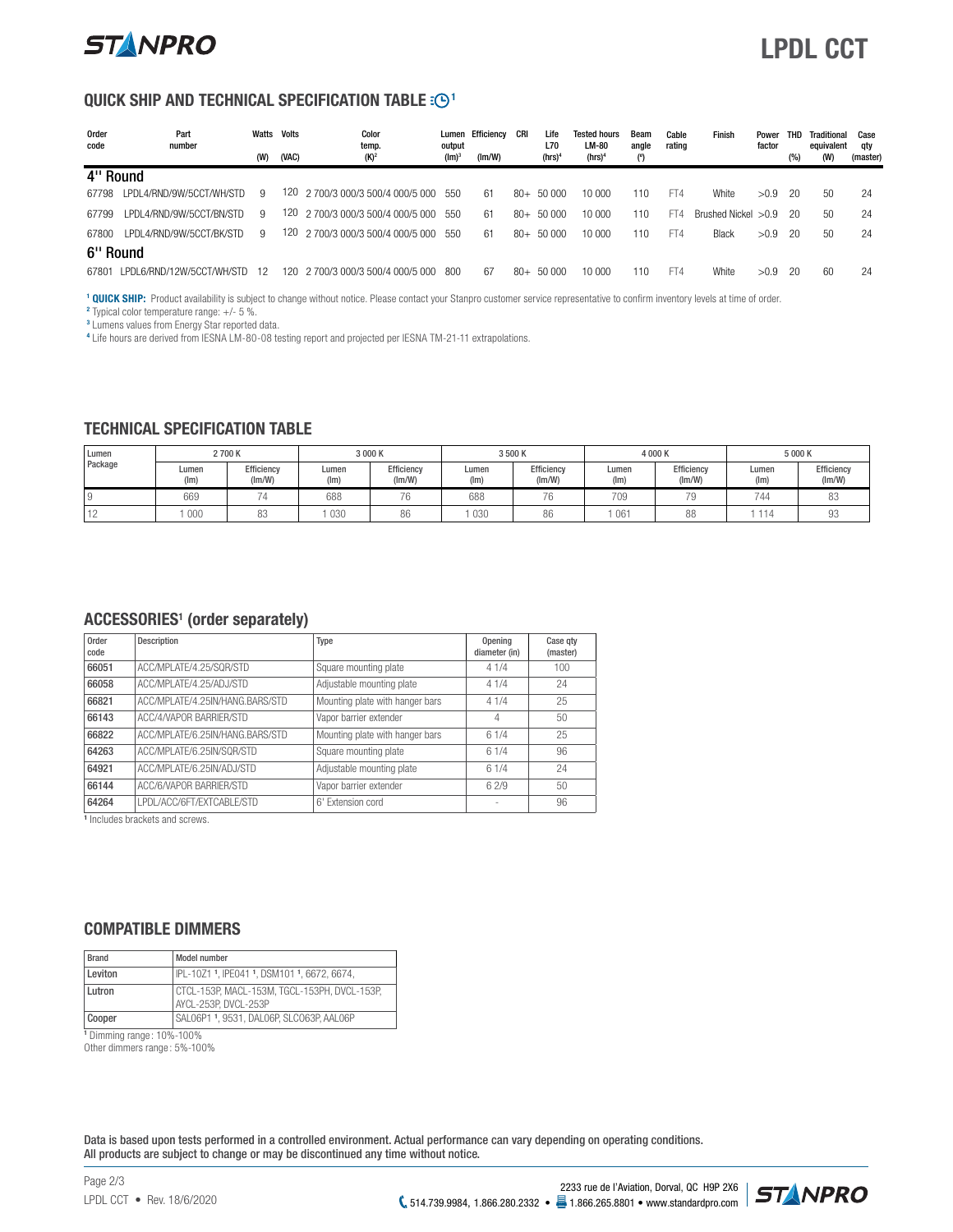

## **LPDL CCT**

### **QUICK SHIP AND TECHNICAL SPECIFICATION TABLE :**  $\odot$ **<sup>1</sup>**

| Order<br>code | Part<br>number              | Watts Volts |       | Color<br>temp.                | Lumen<br>output | Efficiency | CRI   | Life<br><b>L70</b> | <b>Tested hours</b><br><b>LM-80</b> | Beam<br>angle | Cable<br>rating | Finish               | Power<br>factor | THD | Traditional<br>equivalent | Case<br>qty |
|---------------|-----------------------------|-------------|-------|-------------------------------|-----------------|------------|-------|--------------------|-------------------------------------|---------------|-----------------|----------------------|-----------------|-----|---------------------------|-------------|
|               |                             | (W)         | (VAC) | $(K)^2$                       | $(Im)^3$        | (lm/W)     |       | (hrs) <sup>4</sup> | (hrs) <sup>4</sup>                  | (°)           |                 |                      |                 | (%) | (W)                       | (master)    |
| 4" Round      |                             |             |       |                               |                 |            |       |                    |                                     |               |                 |                      |                 |     |                           |             |
| 67798         | LPDL4/RND/9W/5CCT/WH/STD    | 9           | 120.  | 2 700/3 000/3 500/4 000/5 000 | 550             | 61         | $80+$ | 50 000             | 10 000                              | 110           | FT4             | White                | >0.9            | 20  | 50                        | 24          |
| 67799         | I PDI 4/RND/9W/5CCT/BN/STD  | 9           | 120.  | 2 700/3 000/3 500/4 000/5 000 | 550             | -61        | $80+$ | 50 000             | 10 000                              | 110           | FT4             | Brushed Nickel > 0.9 |                 | 20  | 50                        | 24          |
| 67800         | I PDI 4/RND/9W/5CCT/BK/STD  | 9           | 120   | 2 700/3 000/3 500/4 000/5 000 | 550             | 61         | $80+$ | 50 000             | 10 000                              | 110           | FT4             | <b>Black</b>         | >0.9            | 20  | 50                        | 24          |
| 6" Round      |                             |             |       |                               |                 |            |       |                    |                                     |               |                 |                      |                 |     |                           |             |
| 67801         | I PDI 6/RND/12W/5CCT/WH/STD | - 12        | 120.  | 2 700/3 000/3 500/4 000/5 000 | -800            | 67         | $80+$ | -50.000            | 10 000                              | 110           | FT4             | White                | > 0.9           | -20 | 60                        | 24          |

**1 QUICK SHIP:** Product availability is subject to change without notice. Please contact your Stanpro customer service representative to confirm inventory levels at time of order.

**<sup>2</sup>** Typical color temperature range: +/- 5 %.

**<sup>3</sup>** Lumens values from Energy Star reported data.

**<sup>4</sup>** Life hours are derived from IESNA LM-80-08 testing report and projected per IESNA TM-21-11 extrapolations.

### **TECHNICAL SPECIFICATION TABLE**

| Lumen                 | 2700K         |                             |               | 3 000 K                     |               | 3 500 K                     | 4 000 K       |                          |               | 5 000 K                     |
|-----------------------|---------------|-----------------------------|---------------|-----------------------------|---------------|-----------------------------|---------------|--------------------------|---------------|-----------------------------|
| Package               | Lumen<br>(lm) | Efficiency<br>$\frac{1}{2}$ | Lumen<br>(lm) | Efficiency<br>$\frac{1}{2}$ | Lumen<br>(lm) | Efficiency<br>$\frac{1}{2}$ | Lumen<br>(Im) | Efficiency<br>(Im/W)     | Lumen<br>(lm) | Efficiency<br>$\frac{1}{2}$ |
|                       | 669           | $-$                         | 688           | $\neg$<br><sup>7</sup> b    | 688           | 76                          | 709           | $\overline{\phantom{a}}$ | 744           | $\cap$<br>Oð                |
| $\overline{A}$<br>I C | 000           | $\cap$<br>ŏ3                | 030           | 86                          | 030           | 86                          | 061           | 88                       |               | 93                          |

### **ACCESSORIES1 (order separately)**

| Order<br>code | Description                      | Type                            | Opening<br>diameter (in) | Case gty<br>(master) |
|---------------|----------------------------------|---------------------------------|--------------------------|----------------------|
| 66051         | ACC/MPI ATF/4.25/SOR/STD         | Square mounting plate           | 41/4                     | $100 -$              |
| 66058         | ACC/MPI ATF/4.25/ADJ/STD         | Adjustable mounting plate       | 41/4                     | 24                   |
| 66821         | ACC/MPI ATF/4.25IN/HANG.BARS/STD | Mounting plate with hanger bars | 41/4                     | 25                   |
| 66143         | ACC/4/VAPOR BARRIER/STD          | Vapor barrier extender          | 4                        | 50                   |
| 66822         | ACC/MPLATF/6.25IN/HANG.BARS/STD  | Mounting plate with hanger bars | 61/4                     | 25                   |
| 64263         | ACC/MPLATE/6.25IN/SOR/STD        | Square mounting plate           | 61/4                     | 96                   |
| 64921         | ACC/MPI ATF/6.25IN/ADJ/STD       | Adjustable mounting plate       | 61/4                     | 24                   |
| 66144         | ACC/6/VAPOR BARRIER/STD          | Vapor barrier extender          | 62/9                     | 50                   |
| 64264         | LPDL/ACC/6FT/EXTCABLE/STD        | 6' Extension cord               |                          | 96                   |

<sup>1</sup> Includes brackets and screws.

### **COMPATIBLE DIMMERS**

| <b>Brand</b> | Model number                                                         |
|--------------|----------------------------------------------------------------------|
| Leviton      | IPL-10Z1 1, IPE041 1, DSM101 1, 6672, 6674,                          |
| Lutron       | CTCL-153P. MACL-153M. TGCL-153PH. DVCL-153P.<br>AYCL-253P, DVCL-253P |
| Cooper       | SAL06P1 1, 9531, DAL06P, SLC063P, AAL06P                             |

**<sup>1</sup>** Dimming range : 10%-100% Other dimmers range : 5%-100%

Data is based upon tests performed in a controlled environment. Actual performance can vary depending on operating conditions. All products are subject to change or may be discontinued any time without notice.